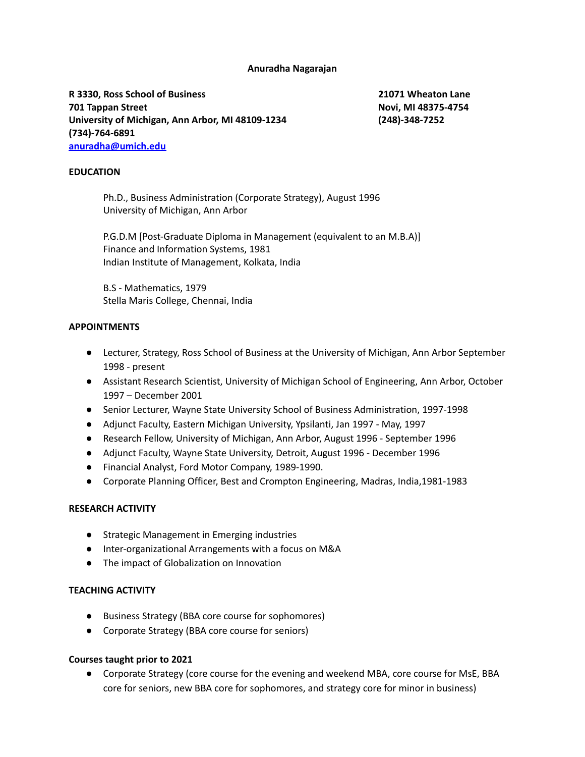#### **Anuradha Nagarajan**

**R 3330, Ross School of Business 21071 Wheaton Lane 701 Tappan Street Novi, MI 48375-4754 University of Michigan, Ann Arbor, MI 48109-1234 (248)-348-7252 (734)-764-6891 [anuradha@umich.edu](mailto:anuradha@umich.edu)**

#### **EDUCATION**

Ph.D., Business Administration (Corporate Strategy), August 1996 University of Michigan, Ann Arbor

P.G.D.M [Post-Graduate Diploma in Management (equivalent to an M.B.A)] Finance and Information Systems, 1981 Indian Institute of Management, Kolkata, India

B.S - Mathematics, 1979 Stella Maris College, Chennai, India

#### **APPOINTMENTS**

- Lecturer, Strategy, Ross School of Business at the University of Michigan, Ann Arbor September 1998 - present
- Assistant Research Scientist, University of Michigan School of Engineering, Ann Arbor, October 1997 – December 2001
- Senior Lecturer, Wayne State University School of Business Administration, 1997-1998
- Adjunct Faculty, Eastern Michigan University, Ypsilanti, Jan 1997 May, 1997
- Research Fellow, University of Michigan, Ann Arbor, August 1996 September 1996
- Adjunct Faculty, Wayne State University, Detroit, August 1996 December 1996
- Financial Analyst, Ford Motor Company, 1989-1990.
- Corporate Planning Officer, Best and Crompton Engineering, Madras, India, 1981-1983

#### **RESEARCH ACTIVITY**

- Strategic Management in Emerging industries
- Inter-organizational Arrangements with a focus on M&A
- The impact of Globalization on Innovation

# **TEACHING ACTIVITY**

- Business Strategy (BBA core course for sophomores)
- Corporate Strategy (BBA core course for seniors)

# **Courses taught prior to 2021**

● Corporate Strategy (core course for the evening and weekend MBA, core course for MsE, BBA core for seniors, new BBA core for sophomores, and strategy core for minor in business)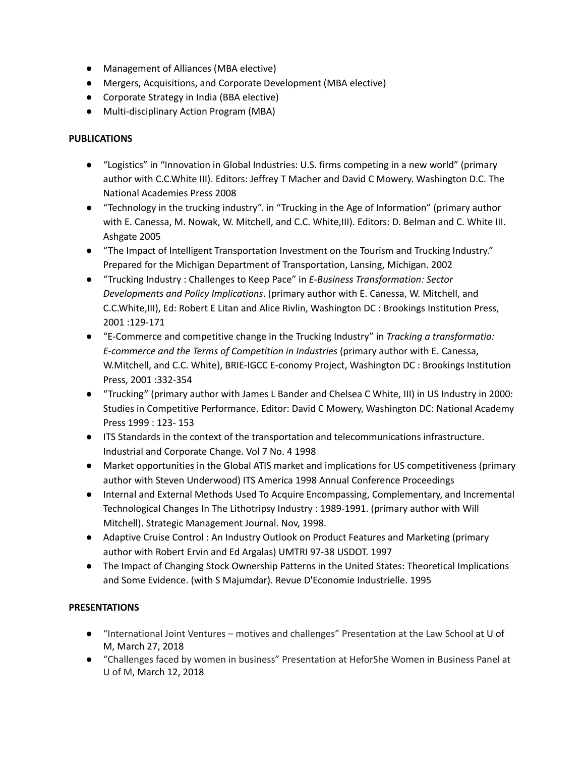- Management of Alliances (MBA elective)
- Mergers, Acquisitions, and Corporate Development (MBA elective)
- Corporate Strategy in India (BBA elective)
- Multi-disciplinary Action Program (MBA)

### **PUBLICATIONS**

- "Logistics" in "Innovation in Global Industries: U.S. firms competing in a new world" (primary author with C.C.White III). Editors: Jeffrey T Macher and David C Mowery. Washington D.C. The National Academies Press 2008
- "Technology in the trucking industry". in "Trucking in the Age of Information" (primary author with E. Canessa, M. Nowak, W. Mitchell, and C.C. White,III). Editors: D. Belman and C. White III. Ashgate 2005
- "The Impact of Intelligent Transportation Investment on the Tourism and Trucking Industry." Prepared for the Michigan Department of Transportation, Lansing, Michigan. 2002
- "Trucking Industry : Challenges to Keep Pace" in *E-Business Transformation: Sector Developments and Policy Implications*. (primary author with E. Canessa, W. Mitchell, and C.C.White,III), Ed: Robert E Litan and Alice Rivlin, Washington DC : Brookings Institution Press, 2001 :129-171
- "E-Commerce and competitive change in the Trucking Industry" in *Tracking a transformatio: E-commerce and the Terms of Competition in Industries* (primary author with E. Canessa, W.Mitchell, and C.C. White), BRIE-IGCC E-conomy Project, Washington DC : Brookings Institution Press, 2001 :332-354
- "Trucking" (primary author with James L Bander and Chelsea C White, III) in US Industry in 2000: Studies in Competitive Performance. Editor: David C Mowery, Washington DC: National Academy Press 1999 : 123- 153
- ITS Standards in the context of the transportation and telecommunications infrastructure. Industrial and Corporate Change. Vol 7 No. 4 1998
- Market opportunities in the Global ATIS market and implications for US competitiveness (primary author with Steven Underwood) ITS America 1998 Annual Conference Proceedings
- Internal and External Methods Used To Acquire Encompassing, Complementary, and Incremental Technological Changes In The Lithotripsy Industry : 1989-1991. (primary author with Will Mitchell). Strategic Management Journal. Nov, 1998.
- Adaptive Cruise Control : An Industry Outlook on Product Features and Marketing (primary author with Robert Ervin and Ed Argalas) UMTRI 97-38 USDOT. 1997
- The Impact of Changing Stock Ownership Patterns in the United States: Theoretical Implications and Some Evidence. (with S Majumdar). Revue D'Economie Industrielle. 1995

# **PRESENTATIONS**

- "International Joint Ventures motives and challenges" Presentation at the Law School at U of M, March 27, 2018
- "Challenges faced by women in business" Presentation at HeforShe Women in Business Panel at U of M, March 12, 2018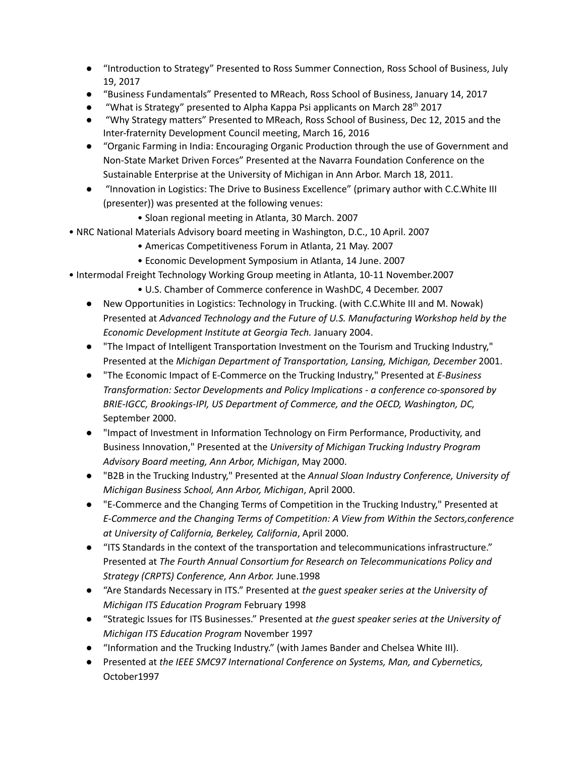- "Introduction to Strategy" Presented to Ross Summer Connection, Ross School of Business, July 19, 2017
- "Business Fundamentals" Presented to MReach, Ross School of Business, January 14, 2017
- "What is Strategy" presented to Alpha Kappa Psi applicants on March 28<sup>th</sup> 2017
- "Why Strategy matters" Presented to MReach, Ross School of Business, Dec 12, 2015 and the Inter-fraternity Development Council meeting, March 16, 2016
- "Organic Farming in India: Encouraging Organic Production through the use of Government and Non-State Market Driven Forces" Presented at the Navarra Foundation Conference on the Sustainable Enterprise at the University of Michigan in Ann Arbor. March 18, 2011.
- "Innovation in Logistics: The Drive to Business Excellence" (primary author with C.C.White III (presenter)) was presented at the following venues:
	- Sloan regional meeting in Atlanta, 30 March. 2007
- NRC National Materials Advisory board meeting in Washington, D.C., 10 April. 2007
	- Americas Competitiveness Forum in Atlanta, 21 May. 2007
	- Economic Development Symposium in Atlanta, 14 June. 2007
- Intermodal Freight Technology Working Group meeting in Atlanta, 10-11 November.2007
	- U.S. Chamber of Commerce conference in WashDC, 4 December. 2007
	- New Opportunities in Logistics: Technology in Trucking. (with C.C.White III and M. Nowak) Presented at *Advanced Technology and the Future of U.S. Manufacturing Workshop held by the Economic Development Institute at Georgia Tech.* January 2004.
	- "The Impact of Intelligent Transportation Investment on the Tourism and Trucking Industry," Presented at the *Michigan Department of Transportation, Lansing, Michigan, December* 2001.
	- "The Economic Impact of E-Commerce on the Trucking Industry," Presented at *E-Business Transformation: Sector Developments and Policy Implications - a conference co-sponsored by BRIE-IGCC, Brookings-IPI, US Department of Commerce, and the OECD, Washington, DC,* September 2000.
	- "Impact of Investment in Information Technology on Firm Performance, Productivity, and Business Innovation," Presented at the *University of Michigan Trucking Industry Program Advisory Board meeting, Ann Arbor, Michigan*, May 2000.
	- "B2B in the Trucking Industry," Presented at the *Annual Sloan Industry Conference, University of Michigan Business School, Ann Arbor, Michigan*, April 2000.
	- "E-Commerce and the Changing Terms of Competition in the Trucking Industry," Presented at *E-Commerce and the Changing Terms of Competition: A View from Within the Sectors,conference at University of California, Berkeley, California*, April 2000.
	- "ITS Standards in the context of the transportation and telecommunications infrastructure." Presented at *The Fourth Annual Consortium for Research on Telecommunications Policy and Strategy (CRPTS) Conference, Ann Arbor.* June.1998
	- "Are Standards Necessary in ITS." Presented at *the guest speaker series at the University of Michigan ITS Education Program* February 1998
	- "Strategic Issues for ITS Businesses." Presented at *the guest speaker series at the University of Michigan ITS Education Program* November 1997
	- "Information and the Trucking Industry." (with James Bander and Chelsea White III).
	- Presented at *the IEEE SMC97 International Conference on Systems, Man, and Cybernetics,* October1997